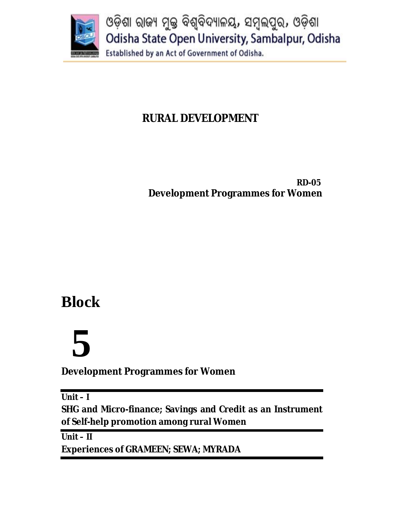

# **RURAL DEVELOPMENT**

 **RD-05 Development Programmes for Women**

# **Block**

# **5**

**Development Programmes for Women** 

**Unit – I**

**SHG and Micro-finance; Savings and Credit as an Instrument of Self-help promotion among rural Women**

**Unit – II Experiences of GRAMEEN; SEWA; MYRADA**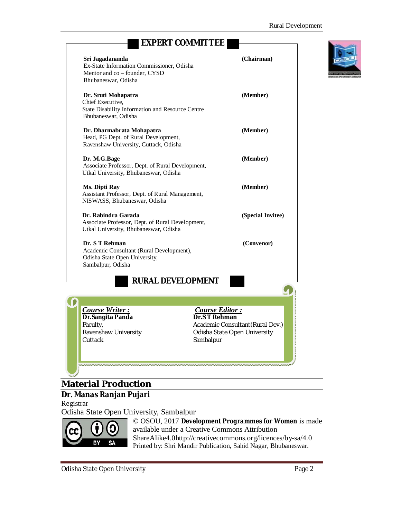|                                                                                                                      | <b>EXPERT COMMITTEE</b>    |                                                                  |  |
|----------------------------------------------------------------------------------------------------------------------|----------------------------|------------------------------------------------------------------|--|
| Sri Jagadananda<br>Ex-State Information Commissioner, Odisha<br>Mentor and co - founder, CYSD<br>Bhubaneswar, Odisha |                            | (Chairman)                                                       |  |
| Dr. Sruti Mohapatra<br>Chief Executive,<br>State Disability Information and Resource Centre<br>Bhubaneswar, Odisha   |                            | (Member)                                                         |  |
| Dr. Dharmabrata Mohapatra<br>Head, PG Dept. of Rural Development,<br>Ravenshaw University, Cuttack, Odisha           |                            | (Member)                                                         |  |
| Dr. M.G.Bage<br>Associate Professor, Dept. of Rural Development,<br>Utkal University, Bhubaneswar, Odisha            |                            | (Member)                                                         |  |
| Ms. Dipti Ray<br>Assistant Professor, Dept. of Rural Management,<br>NISWASS, Bhubaneswar, Odisha                     |                            | (Member)                                                         |  |
| Dr. Rabindra Garada<br>Associate Professor, Dept. of Rural Development,<br>Utkal University, Bhubaneswar, Odisha     |                            | (Special Invitee)                                                |  |
| Dr. S T Rehman<br>Academic Consultant (Rural Development),<br>Odisha State Open University,<br>Sambalpur, Odisha     |                            | (Convenor)                                                       |  |
| <b>RURAL DEVELOPMENT</b>                                                                                             |                            |                                                                  |  |
| Course Writer:                                                                                                       | <b>Course Editor:</b>      |                                                                  |  |
| Dr.Sangita Panda<br>Faculty,<br>Ravenshaw University<br>Cuttack                                                      | Dr.S T Rehman<br>Sambalpur | Academic Consultant (Rural Dev.)<br>Odisha State Open University |  |
|                                                                                                                      |                            |                                                                  |  |

# **Material Production**

# **Dr. Manas Ranjan Pujari**

Registrar

Odisha State Open University, Sambalpur



© OSOU, 2017 *Development Programmes for Women* is made available under a Creative Commons Attribution ShareAlike4.0http://creativecommons.org/licences/by-sa/4.0 Printed by: Shri Mandir Publication, Sahid Nagar, Bhubaneswar.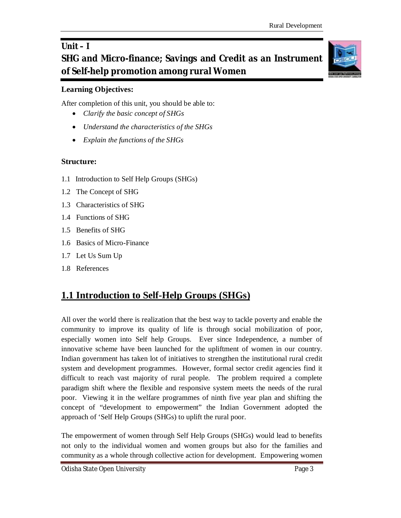# **Unit – I SHG and Micro-finance; Savings and Credit as an Instrument of Self-help promotion among rural Women**

# **Learning Objectives:**

After completion of this unit, you should be able to:

- *Clarify the basic concept of SHGs*
- *Understand the characteristics of the SHGs*
- *Explain the functions of the SHGs*

# **Structure:**

- 1.1 Introduction to Self Help Groups (SHGs)
- 1.2 The Concept of SHG
- 1.3 Characteristics of SHG
- 1.4 Functions of SHG
- 1.5 Benefits of SHG
- 1.6 Basics of Micro-Finance
- 1.7 Let Us Sum Up
- 1.8 References

# **1.1 Introduction to Self-Help Groups (SHGs)**

All over the world there is realization that the best way to tackle poverty and enable the community to improve its quality of life is through social mobilization of poor, especially women into Self help Groups. Ever since Independence, a number of innovative scheme have been launched for the upliftment of women in our country. Indian government has taken lot of initiatives to strengthen the institutional rural credit system and development programmes. However, formal sector credit agencies find it difficult to reach vast majority of rural people. The problem required a complete paradigm shift where the flexible and responsive system meets the needs of the rural poor. Viewing it in the welfare programmes of ninth five year plan and shifting the concept of "development to empowerment" the Indian Government adopted the approach of 'Self Help Groups (SHGs) to uplift the rural poor.

The empowerment of women through Self Help Groups (SHGs) would lead to benefits not only to the individual women and women groups but also for the families and community as a whole through collective action for development. Empowering women

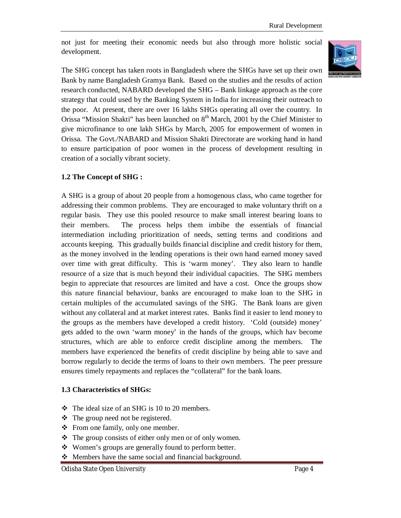not just for meeting their economic needs but also through more holistic social development.



The SHG concept has taken roots in Bangladesh where the SHGs have set up their own Bank by name Bangladesh Gramya Bank. Based on the studies and the results of action research conducted, NABARD developed the SHG – Bank linkage approach as the core strategy that could used by the Banking System in India for increasing their outreach to the poor. At present, there are over 16 lakhs SHGs operating all over the country. In Orissa "Mission Shakti" has been launched on  $8<sup>th</sup>$  March, 2001 by the Chief Minister to give microfinance to one lakh SHGs by March, 2005 for empowerment of women in Orissa. The Govt./NABARD and Mission Shakti Directorate are working hand in hand to ensure participation of poor women in the process of development resulting in creation of a socially vibrant society.

# **1.2 The Concept of SHG :**

A SHG is a group of about 20 people from a homogenous class, who came together for addressing their common problems. They are encouraged to make voluntary thrift on a regular basis. They use this pooled resource to make small interest bearing loans to their members. The process helps them imbibe the essentials of financial intermediation including prioritization of needs, setting terms and conditions and accounts keeping. This gradually builds financial discipline and credit history for them, as the money involved in the lending operations is their own hand earned money saved over time with great difficulty. This is 'warm money'. They also learn to handle resource of a size that is much beyond their individual capacities. The SHG members begin to appreciate that resources are limited and have a cost. Once the groups show this nature financial behaviour, banks are encouraged to make loan to the SHG in certain multiples of the accumulated savings of the SHG. The Bank loans are given without any collateral and at market interest rates. Banks find it easier to lend money to the groups as the members have developed a credit history. 'Cold (outside) money' gets added to the own 'warm money' in the hands of the groups, which hav become structures, which are able to enforce credit discipline among the members. The members have experienced the benefits of credit discipline by being able to save and borrow regularly to decide the terms of loans to their own members. The peer pressure ensures timely repayments and replaces the "collateral" for the bank loans.

#### **1.3 Characteristics of SHGs:**

- The ideal size of an SHG is 10 to 20 members.
- $\triangle$  The group need not be registered.
- From one family, only one member.
- The group consists of either only men or of only women.
- ❖ Women's groups are generally found to perform better.
- Members have the same social and financial background.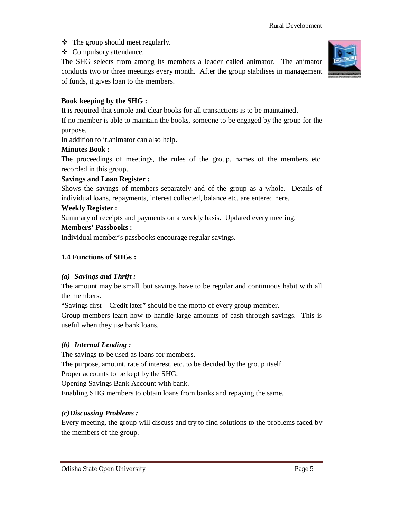- $\triangleleft$  The group should meet regularly.
- ❖ Compulsory attendance.

The SHG selects from among its members a leader called animator. The animator conducts two or three meetings every month. After the group stabilises in management of funds, it gives loan to the members.



# **Book keeping by the SHG :**

It is required that simple and clear books for all transactions is to be maintained.

If no member is able to maintain the books, someone to be engaged by the group for the purpose.

In addition to it,animator can also help.

# **Minutes Book :**

The proceedings of meetings, the rules of the group, names of the members etc. recorded in this group.

# **Savings and Loan Register :**

Shows the savings of members separately and of the group as a whole. Details of individual loans, repayments, interest collected, balance etc. are entered here.

## **Weekly Register :**

Summary of receipts and payments on a weekly basis. Updated every meeting.

## **Members' Passbooks :**

Individual member's passbooks encourage regular savings.

# **1.4 Functions of SHGs :**

# *(a) Savings and Thrift :*

The amount may be small, but savings have to be regular and continuous habit with all the members.

"Savings first – Credit later" should be the motto of every group member.

Group members learn how to handle large amounts of cash through savings. This is useful when they use bank loans.

# *(b) Internal Lending :*

The savings to be used as loans for members.

The purpose, amount, rate of interest, etc. to be decided by the group itself.

Proper accounts to be kept by the SHG.

Opening Savings Bank Account with bank.

Enabling SHG members to obtain loans from banks and repaying the same.

# *(c)Discussing Problems :*

Every meeting, the group will discuss and try to find solutions to the problems faced by the members of the group.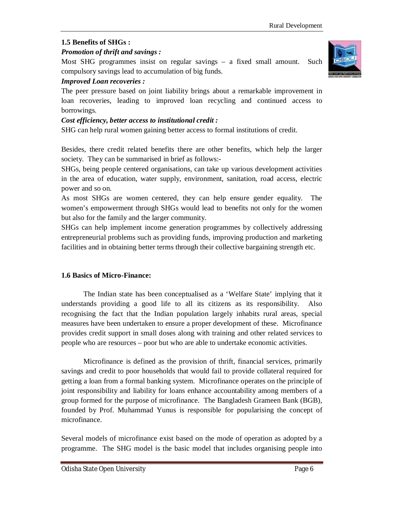# **1.5 Benefits of SHGs :**

# *Promotion of thrift and savings :*

Most SHG programmes insist on regular savings – a fixed small amount. Such compulsory savings lead to accumulation of big funds.

# *Improved Loan recoveries :*

The peer pressure based on joint liability brings about a remarkable improvement in loan recoveries, leading to improved loan recycling and continued access to borrowings.

# *Cost efficiency, better access to institutional credit :*

SHG can help rural women gaining better access to formal institutions of credit.

Besides, there credit related benefits there are other benefits, which help the larger society. They can be summarised in brief as follows:-

SHGs, being people centered organisations, can take up various development activities in the area of education, water supply, environment, sanitation, road access, electric power and so on.

As most SHGs are women centered, they can help ensure gender equality. The women's empowerment through SHGs would lead to benefits not only for the women but also for the family and the larger community.

SHGs can help implement income generation programmes by collectively addressing entrepreneurial problems such as providing funds, improving production and marketing facilities and in obtaining better terms through their collective bargaining strength etc.

# **1.6 Basics of Micro-Finance:**

The Indian state has been conceptualised as a 'Welfare State' implying that it understands providing a good life to all its citizens as its responsibility. Also recognising the fact that the Indian population largely inhabits rural areas, special measures have been undertaken to ensure a proper development of these. Microfinance provides credit support in small doses along with training and other related services to people who are resources – poor but who are able to undertake economic activities.

Microfinance is defined as the provision of thrift, financial services, primarily savings and credit to poor households that would fail to provide collateral required for getting a loan from a formal banking system. Microfinance operates on the principle of joint responsibility and liability for loans enhance accountability among members of a group formed for the purpose of microfinance. The Bangladesh Grameen Bank (BGB), founded by Prof. Muhammad Yunus is responsible for popularising the concept of microfinance.

Several models of microfinance exist based on the mode of operation as adopted by a programme. The SHG model is the basic model that includes organising people into

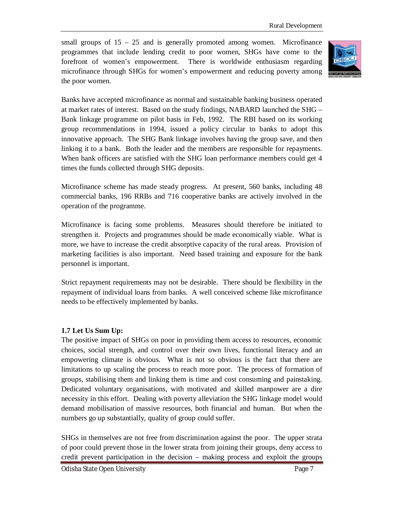small groups of  $15 - 25$  and is generally promoted among women. Microfinance programmes that include lending credit to poor women, SHGs have come to the forefront of women's empowerment. There is worldwide enthusiasm regarding microfinance through SHGs for women's empowerment and reducing poverty among the poor women.



Banks have accepted microfinance as normal and sustainable banking business operated at market rates of interest. Based on the study findings, NABARD launched the SHG – Bank linkage programme on pilot basis in Feb, 1992. The RBI based on its working group recommendations in 1994, issued a policy circular to banks to adopt this innovative approach. The SHG Bank linkage involves having the group save, and then linking it to a bank. Both the leader and the members are responsible for repayments. When bank officers are satisfied with the SHG loan performance members could get 4 times the funds collected through SHG deposits.

Microfinance scheme has made steady progress. At present, 560 banks, including 48 commercial banks, 196 RRBs and 716 cooperative banks are actively involved in the operation of the programme.

Microfinance is facing some problems. Measures should therefore be initiated to strengthen it. Projects and programmes should be made economically viable. What is more, we have to increase the credit absorptive capacity of the rural areas. Provision of marketing facilities is also important. Need based training and exposure for the bank personnel is important.

Strict repayment requirements may not be desirable. There should be flexibility in the repayment of individual loans from banks. A well conceived scheme like microfinance needs to be effectively implemented by banks.

# **1.7 Let Us Sum Up:**

The positive impact of SHGs on poor in providing them access to resources, economic choices, social strength, and control over their own lives, functional literacy and an empowering climate is obvious. What is not so obvious is the fact that there are limitations to up scaling the process to reach more poor. The process of formation of groups, stabilising them and linking them is time and cost consuming and painstaking. Dedicated voluntary organisations, with motivated and skilled manpower are a dire necessity in this effort. Dealing with poverty alleviation the SHG linkage model would demand mobilisation of massive resources, both financial and human. But when the numbers go up substantially, quality of group could suffer.

SHGs in themselves are not free from discrimination against the poor. The upper strata of poor could prevent those in the lower strata from joining their groups, deny access to credit prevent participation in the decision – making process and exploit the groups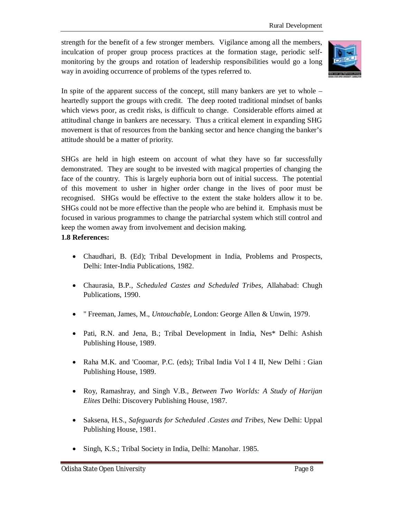strength for the benefit of a few stronger members. Vigilance among all the members, inculcation of proper group process practices at the formation stage, periodic selfmonitoring by the groups and rotation of leadership responsibilities would go a long way in avoiding occurrence of problems of the types referred to.



In spite of the apparent success of the concept, still many bankers are yet to whole – heartedly support the groups with credit. The deep rooted traditional mindset of banks which views poor, as credit risks, is difficult to change. Considerable efforts aimed at attitudinal change in bankers are necessary. Thus a critical element in expanding SHG movement is that of resources from the banking sector and hence changing the banker's attitude should be a matter of priority.

SHGs are held in high esteem on account of what they have so far successfully demonstrated. They are sought to be invested with magical properties of changing the face of the country. This is largely euphoria born out of initial success. The potential of this movement to usher in higher order change in the lives of poor must be recognised. SHGs would be effective to the extent the stake holders allow it to be. SHGs could not be more effective than the people who are behind it. Emphasis must be focused in various programmes to change the patriarchal system which still control and keep the women away from involvement and decision making.

# **1.8 References:**

- Chaudhari, B. (Ed); Tribal Development in India, Problems and Prospects, Delhi: Inter-India Publications, 1982.
- Chaurasia, B.P., *Scheduled Castes and Scheduled Tribes*, Allahabad: Chugh Publications, 1990.
- " Freeman, James, M., *Untouchable,* London: George Allen & Unwin, 1979.
- Pati, R.N. and Jena, B.; Tribal Development in India, Nes\* Delhi: Ashish Publishing House, 1989.
- Raha M.K. and 'Coomar, P.C. (eds); Tribal India Vol I 4 II, New Delhi : Gian Publishing House, 1989.
- Roy, Ramashray, and Singh V.B., *Between Two Worlds: A Study of Harijan Elites* Delhi: Discovery Publishing House, 1987.
- Saksena, H.S., *Safeguards for Scheduled .Castes and Tribes*, New Delhi: Uppal Publishing House, 1981.
- Singh, K.S.; Tribal Society in India, Delhi: Manohar. 1985.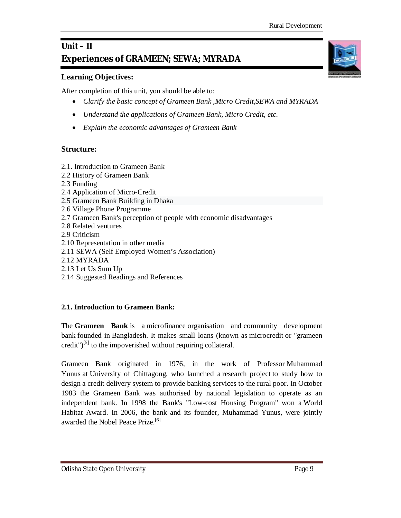# **Unit – II Experiences of GRAMEEN; SEWA; MYRADA**

# **Learning Objectives:**

After completion of this unit, you should be able to:

- *Clarify the basic concept of Grameen Bank ,Micro Credit,SEWA and MYRADA*
- *Understand the applications of Grameen Bank, Micro Credit, etc.*
- *Explain the economic advantages of Grameen Bank*

# **Structure:**

- 2.1. Introduction to Grameen Bank
- 2.2 History of Grameen Bank
- 2.3 Funding
- 2.4 Application of Micro-Credit
- 2.5 Grameen Bank Building in Dhaka
- 2.6 Village Phone Programme
- 2.7 Grameen Bank's perception of people with economic disadvantages
- 2.8 Related ventures
- 2.9 Criticism
- 2.10 Representation in other media
- 2.11 SEWA (Self Employed Women's Association)
- 2.12 MYRADA
- 2.13 Let Us Sum Up
- 2.14 Suggested Readings and References

# **2.1. Introduction to Grameen Bank:**

The **Grameen Bank** is a microfinance organisation and community development bank founded in Bangladesh. It makes small loans (known as microcredit or "grameen credit")<sup>[5]</sup> to the impoverished without requiring collateral.

Grameen Bank originated in 1976, in the work of Professor Muhammad Yunus at University of Chittagong, who launched a research project to study how to design a credit delivery system to provide banking services to the rural poor. In October 1983 the Grameen Bank was authorised by national legislation to operate as an independent bank. In 1998 the Bank's "Low-cost Housing Program" won a World Habitat Award. In 2006, the bank and its founder, Muhammad Yunus, were jointly awarded the Nobel Peace Prize.<sup>[6]</sup>

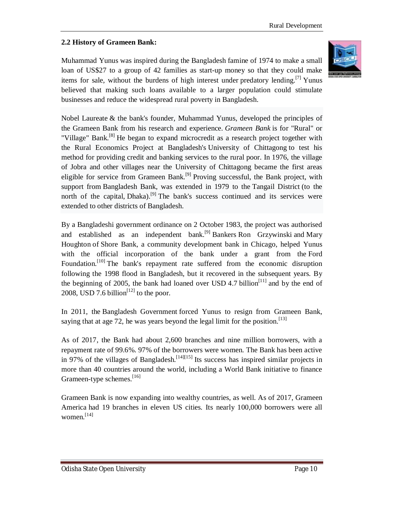# **2.2 History of Grameen Bank:**

Muhammad Yunus was inspired during the Bangladesh famine of 1974 to make a small loan of US\$27 to a group of 42 families as start-up money so that they could make items for sale, without the burdens of high interest under predatory lending.<sup>[7]</sup> Yunus believed that making such loans available to a larger population could stimulate businesses and reduce the widespread rural poverty in Bangladesh.



Nobel Laureate & the bank's founder, Muhammad Yunus, developed the principles of the Grameen Bank from his research and experience. *Grameen Bank* is for "Rural" or "Village" Bank.<sup>[8]</sup> He began to expand microcredit as a research project together with the Rural Economics Project at Bangladesh's University of Chittagong to test his method for providing credit and banking services to the rural poor. In 1976, the village of Jobra and other villages near the University of Chittagong became the first areas eligible for service from Grameen Bank.<sup>[9]</sup> Proving successful, the Bank project, with support from Bangladesh Bank, was extended in 1979 to the Tangail District (to the north of the capital, Dhaka).<sup>[9]</sup> The bank's success continued and its services were extended to other districts of Bangladesh.

By a Bangladeshi government ordinance on 2 October 1983, the project was authorised and established as an independent bank.<sup>[9]</sup> Bankers Ron Grzywinski and Mary Houghton of Shore Bank, a community development bank in Chicago, helped Yunus with the official incorporation of the bank under a grant from the Ford Foundation.<sup>[10]</sup> The bank's repayment rate suffered from the economic disruption following the 1998 flood in Bangladesh, but it recovered in the subsequent years. By the beginning of 2005, the bank had loaned over USD 4.7 billion<sup>[11]</sup> and by the end of 2008, USD 7.6 billion<sup>[12]</sup> to the poor.

In 2011, the Bangladesh Government forced Yunus to resign from Grameen Bank, saying that at age 72, he was years beyond the legal limit for the position.<sup>[13]</sup>

As of 2017, the Bank had about 2,600 branches and nine million borrowers, with a repayment rate of 99.6%. 97% of the borrowers were women. The Bank has been active in 97% of the villages of Bangladesh.<sup>[14][15]</sup> Its success has inspired similar projects in more than 40 countries around the world, including a World Bank initiative to finance Grameen-type schemes.<sup>[16]</sup>

Grameen Bank is now expanding into wealthy countries, as well. As of 2017, Grameen America had 19 branches in eleven US cities. Its nearly 100,000 borrowers were all women. $[14]$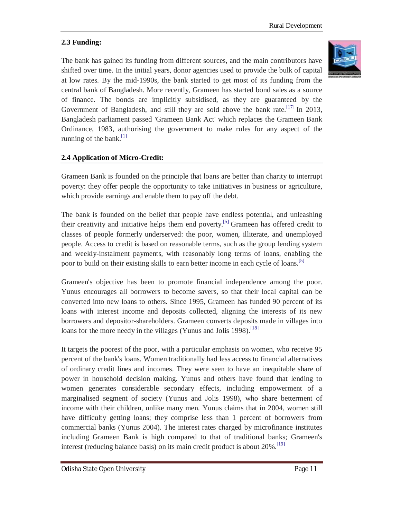# **2.3 Funding:**

The bank has gained its funding from different sources, and the main contributors have shifted over time. In the initial years, donor agencies used to provide the bulk of capital at low rates. By the mid-1990s, the bank started to get most of its funding from the central bank of Bangladesh. More recently, Grameen has started bond sales as a source of finance. The bonds are implicitly subsidised, as they are guaranteed by the Government of Bangladesh, and still they are sold above the bank rate.<sup>[17]</sup> In 2013, Bangladesh parliament passed 'Grameen Bank Act' which replaces the Grameen Bank Ordinance, 1983, authorising the government to make rules for any aspect of the running of the bank. $\left[1\right]$ 

# **2.4 Application of Micro-Credit:**

Grameen Bank is founded on the principle that loans are better than charity to interrupt poverty: they offer people the opportunity to take initiatives in business or agriculture, which provide earnings and enable them to pay off the debt.

The bank is founded on the belief that people have endless potential, and unleashing their creativity and initiative helps them end poverty.<sup>[5]</sup> Grameen has offered credit to classes of people formerly underserved: the poor, women, illiterate, and unemployed people. Access to credit is based on reasonable terms, such as the group lending system and weekly-instalment payments, with reasonably long terms of loans, enabling the poor to build on their existing skills to earn better income in each cycle of loans.<sup>[5]</sup>

Grameen's objective has been to promote financial independence among the poor. Yunus encourages all borrowers to become savers, so that their local capital can be converted into new loans to others. Since 1995, Grameen has funded 90 percent of its loans with interest income and deposits collected, aligning the interests of its new borrowers and depositor-shareholders. Grameen converts deposits made in villages into loans for the more needy in the villages (Yunus and Jolis 1998).<sup>[18]</sup>

It targets the poorest of the poor, with a particular emphasis on women, who receive 95 percent of the bank's loans. Women traditionally had less access to financial alternatives of ordinary credit lines and incomes. They were seen to have an inequitable share of power in household decision making. Yunus and others have found that lending to women generates considerable secondary effects, including empowerment of a marginalised segment of society (Yunus and Jolis 1998), who share betterment of income with their children, unlike many men. Yunus claims that in 2004, women still have difficulty getting loans; they comprise less than 1 percent of borrowers from commercial banks (Yunus 2004). The interest rates charged by microfinance institutes including Grameen Bank is high compared to that of traditional banks; Grameen's interest (reducing balance basis) on its main credit product is about 20%.<sup>[19]</sup>

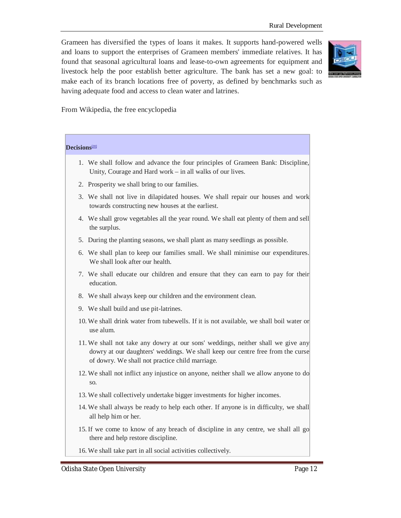Grameen has diversified the types of loans it makes. It supports hand-powered wells and loans to support the enterprises of Grameen members' immediate relatives. It has found that seasonal agricultural loans and lease-to-own agreements for equipment and livestock help the poor establish better agriculture. The bank has set a new goal: to make each of its branch locations free of poverty, as defined by benchmarks such as having adequate food and access to clean water and latrines.



From Wikipedia, the free encyclopedia

| <b>Decisions</b> <sup>[20]</sup>                                                                                                                                                                                      |  |  |
|-----------------------------------------------------------------------------------------------------------------------------------------------------------------------------------------------------------------------|--|--|
| 1. We shall follow and advance the four principles of Grameen Bank: Discipline,<br>Unity, Courage and Hard work - in all walks of our lives.                                                                          |  |  |
| 2. Prosperity we shall bring to our families.                                                                                                                                                                         |  |  |
| 3. We shall not live in dilapidated houses. We shall repair our houses and work<br>towards constructing new houses at the earliest.                                                                                   |  |  |
| 4. We shall grow vegetables all the year round. We shall eat plenty of them and sell<br>the surplus.                                                                                                                  |  |  |
| 5. During the planting seasons, we shall plant as many seedlings as possible.                                                                                                                                         |  |  |
| 6. We shall plan to keep our families small. We shall minimise our expenditures.<br>We shall look after our health.                                                                                                   |  |  |
| 7. We shall educate our children and ensure that they can earn to pay for their<br>education.                                                                                                                         |  |  |
| 8. We shall always keep our children and the environment clean.                                                                                                                                                       |  |  |
| 9. We shall build and use pit-latrines.                                                                                                                                                                               |  |  |
| 10. We shall drink water from tubewells. If it is not available, we shall boil water or<br>use alum.                                                                                                                  |  |  |
| 11. We shall not take any dowry at our sons' weddings, neither shall we give any<br>dowry at our daughters' weddings. We shall keep our centre free from the curse<br>of dowry. We shall not practice child marriage. |  |  |
| 12. We shall not inflict any injustice on anyone, neither shall we allow anyone to do<br>SO.                                                                                                                          |  |  |
| 13. We shall collectively undertake bigger investments for higher incomes.                                                                                                                                            |  |  |
| 14. We shall always be ready to help each other. If anyone is in difficulty, we shall<br>all help him or her.                                                                                                         |  |  |
| 15. If we come to know of any breach of discipline in any centre, we shall all go<br>there and help restore discipline.                                                                                               |  |  |
| 16. We shall take part in all social activities collectively.                                                                                                                                                         |  |  |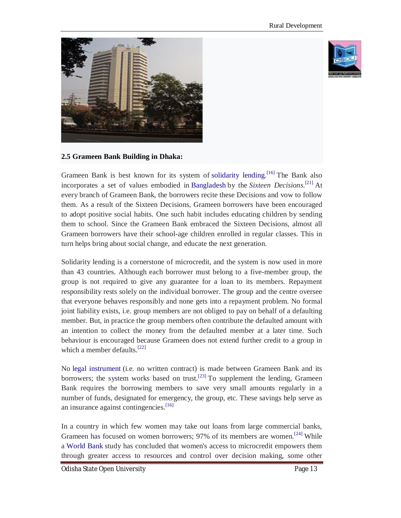



# **2.5 Grameen Bank Building in Dhaka:**

Grameen Bank is best known for its system of solidarity lending.<sup>[16]</sup> The Bank also incorporates a set of values embodied in Bangladesh by the *Sixteen Decisions*. [21] At every branch of Grameen Bank, the borrowers recite these Decisions and vow to follow them. As a result of the Sixteen Decisions, Grameen borrowers have been encouraged to adopt positive social habits. One such habit includes educating children by sending them to school. Since the Grameen Bank embraced the Sixteen Decisions, almost all Grameen borrowers have their school-age children enrolled in regular classes. This in turn helps bring about social change, and educate the next generation.

Solidarity lending is a cornerstone of microcredit, and the system is now used in more than 43 countries. Although each borrower must belong to a five-member group, the group is not required to give any guarantee for a loan to its members. Repayment responsibility rests solely on the individual borrower. The group and the centre oversee that everyone behaves responsibly and none gets into a repayment problem. No formal joint liability exists, i.e. group members are not obliged to pay on behalf of a defaulting member. But, in practice the group members often contribute the defaulted amount with an intention to collect the money from the defaulted member at a later time. Such behaviour is encouraged because Grameen does not extend further credit to a group in which a member defaults.<sup>[22]</sup>

No legal instrument (i.e. no written contract) is made between Grameen Bank and its borrowers; the system works based on trust.<sup>[23]</sup> To supplement the lending, Grameen Bank requires the borrowing members to save very small amounts regularly in a number of funds, designated for emergency, the group, etc. These savings help serve as an insurance against contingencies.<sup>[16]</sup>

In a country in which few women may take out loans from large commercial banks, Grameen has focused on women borrowers; 97% of its members are women.<sup>[24]</sup> While a World Bank study has concluded that women's access to microcredit empowers them through greater access to resources and control over decision making, some other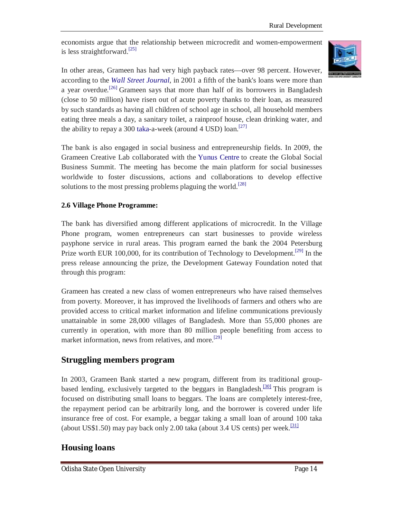economists argue that the relationship between microcredit and women-empowerment is less straightforward.<sup>[25]</sup>



In other areas, Grameen has had very high payback rates—over 98 percent. However, according to the *Wall Street Journal*, in 2001 a fifth of the bank's loans were more than a year overdue.<sup>[26]</sup> Grameen says that more than half of its borrowers in Bangladesh (close to 50 million) have risen out of acute poverty thanks to their loan, as measured by such standards as having all children of school age in school, all household members eating three meals a day, a sanitary toilet, a rainproof house, clean drinking water, and the ability to repay a 300 taka-a-week (around 4 USD) loan.<sup>[27]</sup>

The bank is also engaged in social business and entrepreneurship fields. In 2009, the Grameen Creative Lab collaborated with the Yunus Centre to create the Global Social Business Summit. The meeting has become the main platform for social businesses worldwide to foster discussions, actions and collaborations to develop effective solutions to the most pressing problems plaguing the world.<sup>[28]</sup>

## **2.6 Village Phone Programme:**

The bank has diversified among different applications of microcredit. In the Village Phone program, women entrepreneurs can start businesses to provide wireless payphone service in rural areas. This program earned the bank the 2004 Petersburg Prize worth EUR 100,000, for its contribution of Technology to Development.<sup>[29]</sup> In the press release announcing the prize, the Development Gateway Foundation noted that through this program:

Grameen has created a new class of women entrepreneurs who have raised themselves from poverty. Moreover, it has improved the livelihoods of farmers and others who are provided access to critical market information and lifeline communications previously unattainable in some 28,000 villages of Bangladesh. More than 55,000 phones are currently in operation, with more than 80 million people benefiting from access to market information, news from relatives, and more.<sup>[29]</sup>

# **Struggling members program**

In 2003, Grameen Bank started a new program, different from its traditional groupbased lending, exclusively targeted to the beggars in Bangladesh.<sup>[30]</sup> This program is focused on distributing small loans to beggars. The loans are completely interest-free, the repayment period can be arbitrarily long, and the borrower is covered under life insurance free of cost. For example, a beggar taking a small loan of around 100 taka (about US\$1.50) may pay back only 2.00 taka (about 3.4 US cents) per week.<sup>[31]</sup>

# **Housing loans**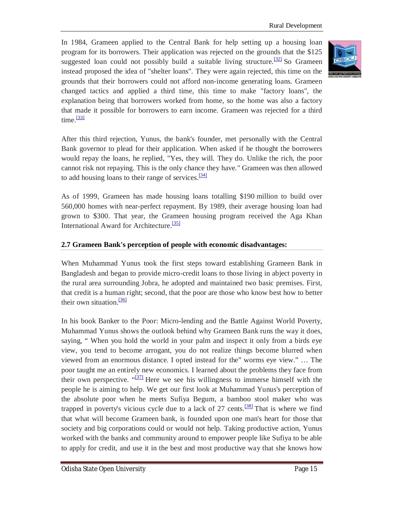In 1984, Grameen applied to the Central Bank for help setting up a housing loan program for its borrowers. Their application was rejected on the grounds that the \$125 suggested loan could not possibly build a suitable living structure.<sup>[32]</sup> So Grameen instead proposed the idea of "shelter loans". They were again rejected, this time on the grounds that their borrowers could not afford non-income generating loans. Grameen changed tactics and applied a third time, this time to make "factory loans", the explanation being that borrowers worked from home, so the home was also a factory that made it possible for borrowers to earn income. Grameen was rejected for a third  $time.$ <sup>[33]</sup>



After this third rejection, Yunus, the bank's founder, met personally with the Central Bank governor to plead for their application. When asked if he thought the borrowers would repay the loans, he replied, "Yes, they will. They do. Unlike the rich, the poor cannot risk not repaying. This is the only chance they have." Grameen was then allowed to add housing loans to their range of services. $\frac{341}{24}$ 

As of 1999, Grameen has made housing loans totalling \$190 million to build over 560,000 homes with near-perfect repayment. By 1989, their average housing loan had grown to \$300. That year, the Grameen housing program received the Aga Khan International Award for Architecture.<sup>[35]</sup>

## **2.7 Grameen Bank's perception of people with economic disadvantages:**

When Muhammad Yunus took the first steps toward establishing Grameen Bank in Bangladesh and began to provide micro-credit loans to those living in abject poverty in the rural area surrounding Jobra, he adopted and maintained two basic premises. First, that credit is a human right; second, that the poor are those who know best how to better their own situation.<sup>[36]</sup>

In his book Banker to the Poor: Micro-lending and the Battle Against World Poverty, Muhammad Yunus shows the outlook behind why Grameen Bank runs the way it does, saying, " When you hold the world in your palm and inspect it only from a birds eye view, you tend to become arrogant, you do not realize things become blurred when viewed from an enormous distance. I opted instead for the" worms eye view." … The poor taught me an entirely new economics. I learned about the problems they face from their own perspective.  $\frac{1371}{12}$  Here we see his willingness to immerse himself with the people he is aiming to help. We get our first look at Muhammad Yunus's perception of the absolute poor when he meets Sufiya Begum, a bamboo stool maker who was trapped in poverty's vicious cycle due to a lack of 27 cents.<sup>[38]</sup> That is where we find that what will become Grameen bank, is founded upon one man's heart for those that society and big corporations could or would not help. Taking productive action, Yunus worked with the banks and community around to empower people like Sufiya to be able to apply for credit, and use it in the best and most productive way that she knows how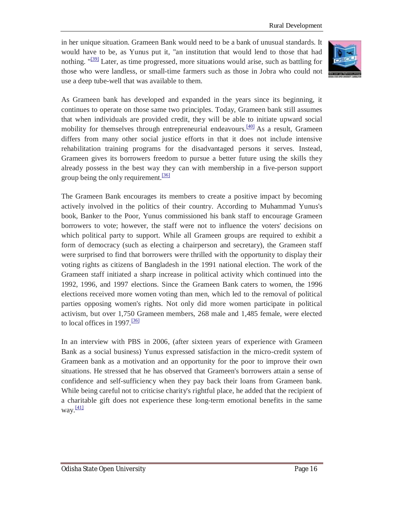in her unique situation. Grameen Bank would need to be a bank of unusual standards. It would have to be, as Yunus put it, "an institution that would lend to those that had nothing.  $\frac{1391}{2}$  Later, as time progressed, more situations would arise, such as battling for those who were landless, or small-time farmers such as those in Jobra who could not use a deep tube-well that was available to them.



As Grameen bank has developed and expanded in the years since its beginning, it continues to operate on those same two principles. Today, Grameen bank still assumes that when individuals are provided credit, they will be able to initiate upward social mobility for themselves through entrepreneurial endeavours.<sup>[40]</sup> As a result, Grameen differs from many other social justice efforts in that it does not include intensive rehabilitation training programs for the disadvantaged persons it serves. Instead, Grameen gives its borrowers freedom to pursue a better future using the skills they already possess in the best way they can with membership in a five-person support group being the only requirement.<sup>[36]</sup>

The Grameen Bank encourages its members to create a positive impact by becoming actively involved in the politics of their country. According to Muhammad Yunus's book, Banker to the Poor, Yunus commissioned his bank staff to encourage Grameen borrowers to vote; however, the staff were not to influence the voters' decisions on which political party to support. While all Grameen groups are required to exhibit a form of democracy (such as electing a chairperson and secretary), the Grameen staff were surprised to find that borrowers were thrilled with the opportunity to display their voting rights as citizens of Bangladesh in the 1991 national election. The work of the Grameen staff initiated a sharp increase in political activity which continued into the 1992, 1996, and 1997 elections. Since the Grameen Bank caters to women, the 1996 elections received more women voting than men, which led to the removal of political parties opposing women's rights. Not only did more women participate in political activism, but over 1,750 Grameen members, 268 male and 1,485 female, were elected to local offices in 1997. $\frac{36}{136}$ 

In an interview with PBS in 2006, (after sixteen years of experience with Grameen Bank as a social business) Yunus expressed satisfaction in the micro-credit system of Grameen bank as a motivation and an opportunity for the poor to improve their own situations. He stressed that he has observed that Grameen's borrowers attain a sense of confidence and self-sufficiency when they pay back their loans from Grameen bank. While being careful not to criticise charity's rightful place, he added that the recipient of a charitable gift does not experience these long-term emotional benefits in the same way. $\frac{[41]}{[41]}$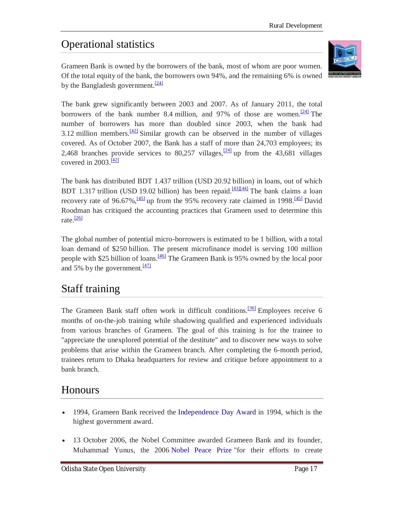# Operational statistics

Grameen Bank is owned by the borrowers of the bank, most of whom are poor women. Of the total equity of the bank, the borrowers own 94%, and the remaining 6% is owned by the Bangladesh government.<sup>[24]</sup>



The bank grew significantly between 2003 and 2007. As of January 2011, the total borrowers of the bank number 8.4 million, and 97% of those are women.<sup>[24]</sup> The number of borrowers has more than doubled since 2003, when the bank had 3.12 million members.<sup>[42]</sup> Similar growth can be observed in the number of villages covered. As of October 2007, the Bank has a staff of more than 24,703 employees; its 2,468 branches provide services to 80,257 villages,  $\frac{24}{4}$  up from the 43,681 villages covered in  $2003 \frac{[42]}{]}$ 

The bank has distributed BDT 1.437 trillion (USD 20.92 billion) in loans, out of which BDT 1.317 trillion (USD 19.02 billion) has been repaid.<sup>[43][44]</sup> The bank claims a loan recovery rate of 96.67%,<sup>[45]</sup> up from the 95% recovery rate claimed in 1998.<sup>[45]</sup> David Roodman has critiqued the accounting practices that Grameen used to determine this rate. $\frac{[26]}{[26]}$ 

The global number of potential micro-borrowers is estimated to be 1 billion, with a total loan demand of \$250 billion. The present microfinance model is serving 100 million people with \$25 billion of loans.<sup>[46]</sup> The Grameen Bank is 95% owned by the local poor and 5% by the government. $\frac{[47]}{[47]}$ 

# Staff training

The Grameen Bank staff often work in difficult conditions.<sup>[36]</sup> Employees receive 6 months of on-the-job training while shadowing qualified and experienced individuals from various branches of Grameen. The goal of this training is for the trainee to "appreciate the unexplored potential of the destitute" and to discover new ways to solve problems that arise within the Grameen branch. After completing the 6-month period, trainees return to Dhaka headquarters for review and critique before appointment to a bank branch.

# **Honours**

- 1994, Grameen Bank received the Independence Day Award in 1994, which is the highest government award.
- 13 October 2006, the Nobel Committee awarded Grameen Bank and its founder, Muhammad Yunus, the 2006 Nobel Peace Prize "for their efforts to create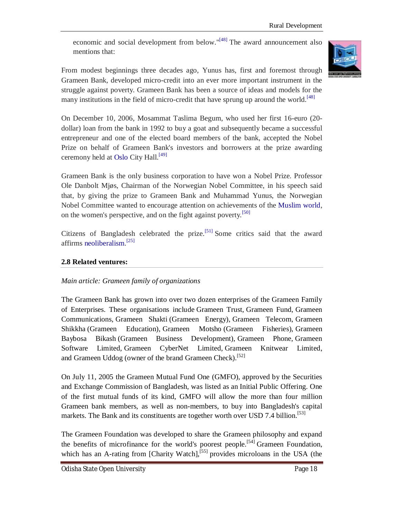economic and social development from below."[48] The award announcement also mentions that:



From modest beginnings three decades ago, Yunus has, first and foremost through Grameen Bank, developed micro-credit into an ever more important instrument in the struggle against poverty. Grameen Bank has been a source of ideas and models for the many institutions in the field of micro-credit that have sprung up around the world.<sup>[48]</sup>

On December 10, 2006, Mosammat Taslima Begum, who used her first 16-euro (20 dollar) loan from the bank in 1992 to buy a goat and subsequently became a successful entrepreneur and one of the elected board members of the bank, accepted the Nobel Prize on behalf of Grameen Bank's investors and borrowers at the prize awarding ceremony held at Oslo City Hall.<sup>[49]</sup>

Grameen Bank is the only business corporation to have won a Nobel Prize. Professor Ole Danbolt Mjøs, Chairman of the Norwegian Nobel Committee, in his speech said that, by giving the prize to Grameen Bank and Muhammad Yunus, the Norwegian Nobel Committee wanted to encourage attention on achievements of the Muslim world, on the women's perspective, and on the fight against poverty.<sup>[50]</sup>

Citizens of Bangladesh celebrated the prize.<sup>[51]</sup> Some critics said that the award affirms neoliberalism. [25]

# **2.8 Related ventures:**

# *Main article: Grameen family of organizations*

The Grameen Bank has grown into over two dozen enterprises of the Grameen Family of Enterprises. These organisations include Grameen Trust, Grameen Fund, Grameen Communications, Grameen Shakti (Grameen Energy), Grameen Telecom, Grameen Shikkha (Grameen Education), Grameen Motsho (Grameen Fisheries), Grameen Baybosa Bikash (Grameen Business Development), Grameen Phone, Grameen Software Limited, Grameen CyberNet Limited, Grameen Knitwear Limited, and Grameen Uddog (owner of the brand Grameen Check).<sup>[52]</sup>

On July 11, 2005 the Grameen Mutual Fund One (GMFO), approved by the Securities and Exchange Commission of Bangladesh, was listed as an Initial Public Offering. One of the first mutual funds of its kind, GMFO will allow the more than four million Grameen bank members, as well as non-members, to buy into Bangladesh's capital markets. The Bank and its constituents are together worth over USD 7.4 billion.<sup>[53]</sup>

The Grameen Foundation was developed to share the Grameen philosophy and expand the benefits of microfinance for the world's poorest people.<sup>[54]</sup> Grameen Foundation. which has an A-rating from [Charity Watch],<sup>[55]</sup> provides microloans in the USA (the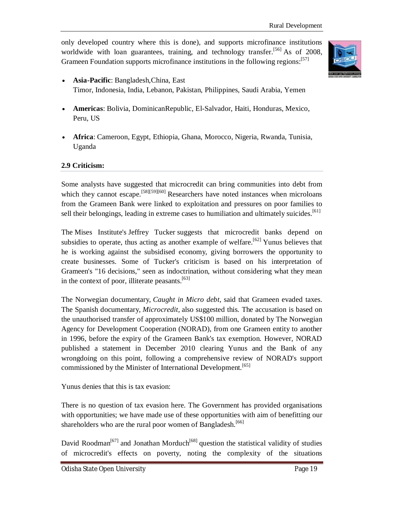only developed country where this is done), and supports microfinance institutions worldwide with loan guarantees, training, and technology transfer.<sup>[56]</sup> As of 2008, Grameen Foundation supports microfinance institutions in the following regions:<sup>[57]</sup>



- **Asia-Pacific**: Bangladesh,China, East Timor, Indonesia, India, Lebanon, Pakistan, Philippines, Saudi Arabia, Yemen
- **Americas**: Bolivia, DominicanRepublic, El-Salvador, Haiti, Honduras, Mexico, Peru, US
- **Africa**: Cameroon, Egypt, Ethiopia, Ghana, Morocco, Nigeria, Rwanda, Tunisia, Uganda

# **2.9 Criticism:**

Some analysts have suggested that microcredit can bring communities into debt from which they cannot escape.<sup>[58][59][60]</sup> Researchers have noted instances when microloans from the Grameen Bank were linked to exploitation and pressures on poor families to sell their belongings, leading in extreme cases to humiliation and ultimately suicides.<sup>[61]</sup>

The Mises Institute's Jeffrey Tucker suggests that microcredit banks depend on subsidies to operate, thus acting as another example of welfare.<sup>[62]</sup> Yunus believes that he is working against the subsidised economy, giving borrowers the opportunity to create businesses. Some of Tucker's criticism is based on his interpretation of Grameen's "16 decisions," seen as indoctrination, without considering what they mean in the context of poor, illiterate peasants.<sup>[63]</sup>

The Norwegian documentary, *Caught in Micro debt*, said that Grameen evaded taxes. The Spanish documentary, *Microcredit,* also suggested this. The accusation is based on the unauthorised transfer of approximately US\$100 million, donated by The Norwegian Agency for Development Cooperation (NORAD), from one Grameen entity to another in 1996, before the expiry of the Grameen Bank's tax exemption. However, NORAD published a statement in December 2010 clearing Yunus and the Bank of any wrongdoing on this point, following a comprehensive review of NORAD's support commissioned by the Minister of International Development.<sup>[65]</sup>

Yunus denies that this is tax evasion:

There is no question of tax evasion here. The Government has provided organisations with opportunities; we have made use of these opportunities with aim of benefitting our shareholders who are the rural poor women of Bangladesh.<sup>[66]</sup>

David Roodman<sup>[67]</sup> and Jonathan Morduch<sup>[68]</sup> question the statistical validity of studies of microcredit's effects on poverty, noting the complexity of the situations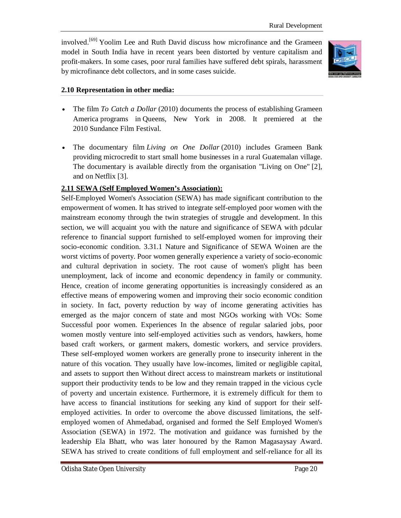involved.<sup>[69]</sup> Yoolim Lee and Ruth David discuss how microfinance and the Grameen model in South India have in recent years been distorted by venture capitalism and profit-makers. In some cases, poor rural families have suffered debt spirals, harassment by microfinance debt collectors, and in some cases suicide.



## **2.10 Representation in other media:**

- The film *To Catch a Dollar* (2010) documents the process of establishing Grameen America programs in Queens, New York in 2008. It premiered at the 2010 Sundance Film Festival.
- The documentary film *Living on One Dollar* (2010) includes Grameen Bank providing microcredit to start small home businesses in a rural Guatemalan village. The documentary is available directly from the organisation "Living on One" [2], and on Netflix [3].

## **2.11 SEWA (Self Employed Women's Association):**

Self-Employed Women's Association (SEWA) has made significant contribution to the empowerment of women. It has strived to integrate self-employed poor women with the mainstream economy through the twin strategies of struggle and development. In this section, we will acquaint you with the nature and significance of SEWA with pdcular reference to financial support furnished to self-employed women for improving their socio-economic condition. 3.31.1 Nature and Significance of SEWA Woinen are the worst victims of poverty. Poor women generally experience a variety of socio-economic and cultural deprivation in society. The root cause of women's plight has been unemployment, lack of income and economic dependency in family or community. Hence, creation of income generating opportunities is increasingly considered as an effective means of empowering women and improving their socio economic condition in society. In fact, poverty reduction by way of income generating activities has emerged as the major concern of state and most NGOs working with VOs: Some Successful poor women. Experiences In the absence of regular salaried jobs, poor women mostly venture into self-employed activities such as vendors, hawkers, home based craft workers, or garment makers, domestic workers, and service providers. These self-employed women workers are generally prone to insecurity inherent in the nature of this vocation. They usually have low-incomes, limited or negligible capital, and assets to support then Without direct access to mainstream markets or institutional support their productivity tends to be low and they remain trapped in the vicious cycle of poverty and uncertain existence. Furthermore, it is extremely difficult for them to have access to financial institutions for seeking any kind of support for their selfemployed activities. In order to overcome the above discussed limitations, the selfemployed women of Ahmedabad, organised and formed the Self Employed Women's Association (SEWA) in 1972. The motivation and guidance was furnished by the leadership Ela Bhatt, who was later honoured by the Ramon Magasaysay Award. SEWA has strived to create conditions of full employment and self-reliance for all its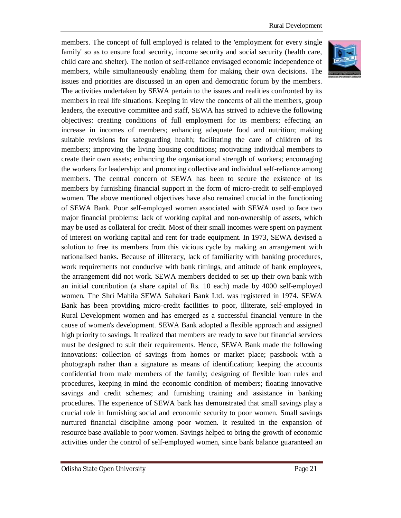members. The concept of full employed is related to the 'employment for every single family' so as to ensure food security, income security and social security (health care, child care and shelter). The notion of self-reliance envisaged economic independence of members, while simultaneously enabling them for making their own decisions. The issues and priorities are discussed in an open and democratic forum by the members. The activities undertaken by SEWA pertain to the issues and realities confronted by its members in real life situations. Keeping in view the concerns of all the members, group leaders, the executive committee and staff, SEWA has strived to achieve the following objectives: creating conditions of full employment for its members; effecting an increase in incomes of members; enhancing adequate food and nutrition; making suitable revisions for safeguarding health; facilitating the care of children of its members; improving the living housing conditions; motivating individual members to create their own assets; enhancing the organisational strength of workers; encouraging the workers for leadership; and promoting collective and individual self-reliance among members. The central concern of SEWA has been to secure the existence of its members by furnishing financial support in the form of micro-credit to self-employed women. The above mentioned objectives have also remained crucial in the functioning of SEWA Bank. Poor self-employed women associated with SEWA used to face two major financial problems: lack of working capital and non-ownership of assets, which may be used as collateral for credit. Most of their small incomes were spent on payment of interest on working capital and rent for trade equipment. In 1973, SEWA devised a solution to free its members from this vicious cycle by making an arrangement with nationalised banks. Because of illiteracy, lack of familiarity with banking procedures, work requirements not conducive with bank timings, and attitude of bank employees, the arrangement did not work. SEWA members decided to set up their own bank with an initial contribution (a share capital of Rs. 10 each) made by 4000 self-employed women. The Shri Mahila SEWA Sahakari Bank Ltd. was registered in 1974. SEWA Bank has been providing micro-credit facilities to poor, illiterate, self-employed in Rural Development women and has emerged as a successful financial venture in the cause of women's development. SEWA Bank adopted a flexible approach and assigned high priority to savings. It realized that members are ready to save but financial services must be designed to suit their requirements. Hence, SEWA Bank made the following innovations: collection of savings from homes or market place; passbook with a photograph rather than a signature as means of identification; keeping the accounts confidential from male members of the family; designing of flexible loan rules and procedures, keeping in mind the economic condition of members; floating innovative savings and credit schemes; and furnishing training and assistance in banking procedures. The experience of SEWA bank has demonstrated that small savings play a crucial role in furnishing social and economic security to poor women. Small savings nurtured financial discipline among poor women. It resulted in the expansion of resource base available to poor women. Savings helped to bring the growth of economic activities under the control of self-employed women, since bank balance guaranteed an

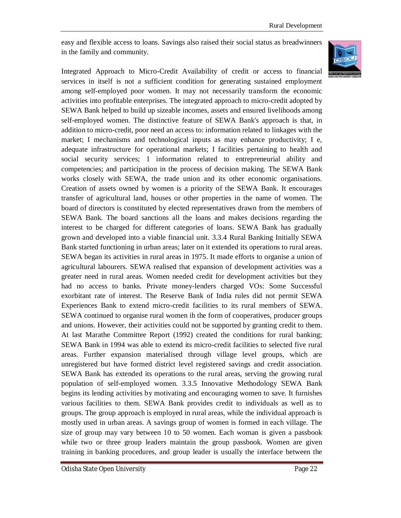easy and flexible access to loans. Savings also raised their social status as breadwinners in the family and community.



Integrated Approach to Micro-Credit Availability of credit or access to financial services in itself is not a sufficient condition for generating sustained employment among self-employed poor women. It may not necessarily transform the economic activities into profitable enterprises. The integrated approach to micro-credit adopted by SEWA Bank helped to build up sizeable incomes, assets and ensured livelihoods among self-employed women. The distinctive feature of SEWA Bank's approach is that, in addition to micro-credit, poor need an access to: information related to linkages with the market; I mechanisms and technological inputs as may enhance productivity; I e, adequate infrastructure for operational markets; I facilities pertaining to health and social security services; 1 information related to entrepreneurial ability and competencies; and participation in the process of decision making. The SEWA Bank works closely with SEWA, the trade union and its other economic organisations. Creation of assets owned by women is a priority of the SEWA Bank. It encourages transfer of agricultural land, houses or other properties in the name of women. The board of directors is constituted by elected representatives drawn from the members of SEWA Bank. The board sanctions all the loans and makes decisions regarding the interest to be charged for different categories of loans. SEWA Bank has gradually grown and developed into a viable financial unit. 3.3.4 Rural Banking Initially SEWA Bank started functioning in urban areas; later on it extended its operations to rural areas. SEWA began its activities in rural areas in 1975. It made efforts to organise a union of agricultural labourers. SEWA realised that expansion of development activities was a greater need in rural areas. Women needed credit for development activities but they had no access to banks. Private money-lenders charged VOs: Some Successful exorbitant rate of interest. The Reserve Bank of India rules did not permit SEWA Experiences Bank to extend micro-credit facilities to its rural members of SEWA. SEWA continued to organise rural women ih the form of cooperatives, producer groups and unions. However, their activities could not be supported by granting credit to them. At last Marathe Committee Report (1992) created the conditions for rural banking; SEWA Bank in 1994 was able to extend its micro-credit facilities to selected five rural areas. Further expansion materialised through village level groups, which are unregistered but have formed district level registered savings and credit association. SEWA Bank has extended its operations to the rural areas, serving the growing rural population of self-employed women. 3.3.5 Innovative Methodology SEWA Bank begins its lending activities by motivating and encouraging women to save. It furnishes various facilities to them. SEWA Bank provides credit to individuals as well as to groups. The group approach is employed in rural areas, while the individual approach is mostly used in urban areas. A savings group of women is formed in each village. The size of group may vary between 10 to 50 women. Each woman is given a passbook while two or three group leaders maintain the group passbook. Women are given training in banking procedures, and group leader is usually the interface between the

Odisha State Open University Page 22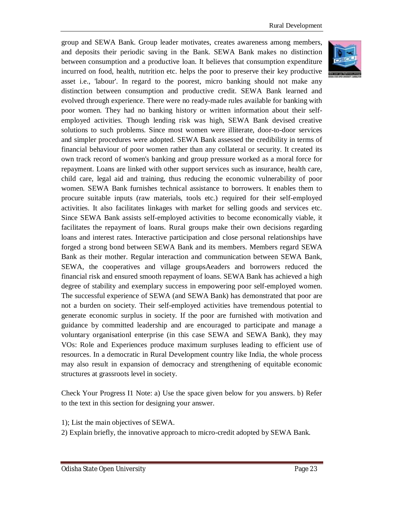group and SEWA Bank. Group leader motivates, creates awareness among members, and deposits their periodic saving in the Bank. SEWA Bank makes no distinction between consumption and a productive loan. It believes that consumption expenditure incurred on food, health, nutrition etc. helps the poor to preserve their key productive asset i.e., 'labour'. In regard to the poorest, micro banking should not make any distinction between consumption and productive credit. SEWA Bank learned and evolved through experience. There were no ready-made rules available for banking with poor women. They had no banking history or written information about their selfemployed activities. Though lending risk was high, SEWA Bank devised creative solutions to such problems. Since most women were illiterate, door-to-door services and simpler procedures were adopted. SEWA Bank assessed the credibility in terms of financial behaviour of poor women rather than any collateral or security. It created its own track record of women's banking and group pressure worked as a moral force for repayment. Loans are linked with other support services such as insurance, health care, child care, legal aid and training, thus reducing the economic vulnerability of poor women. SEWA Bank furnishes technical assistance to borrowers. It enables them to procure suitable inputs (raw materials, tools etc.) required for their self-employed activities. It also facilitates linkages with market for selling goods and services etc. Since SEWA Bank assists self-employed activities to become economically viable, it facilitates the repayment of loans. Rural groups make their own decisions regarding loans and interest rates. Interactive participation and close personal relationships have forged a strong bond between SEWA Bank and its members. Members regard SEWA Bank as their mother. Regular interaction and communication between SEWA Bank, SEWA, the cooperatives and village groupsAeaders and borrowers reduced the financial risk and ensured smooth repayment of loans. SEWA Bank has achieved a high degree of stability and exemplary success in empowering poor self-employed women. The successful experience of SEWA (and SEWA Bank) has demonstrated that poor are not a burden on society. Their self-employed activities have tremendous potential to generate economic surplus in society. If the poor are furnished with motivation and guidance by committed leadership and are encouraged to participate and manage a voluntary organisationl enterprise (in this case SEWA and SEWA Bank), they may VOs: Role and Experiences produce maximum surpluses leading to efficient use of resources. In a democratic in Rural Development country like India, the whole process may also result in expansion of democracy and strengthening of equitable economic structures at grassroots level in society.

Check Your Progress I1 Note: a) Use the space given below for you answers. b) Refer to the text in this section for designing your answer.

1); List the main objectives of SEWA. 2) Explain briefly, the innovative approach to micro-credit adopted by SEWA Bank.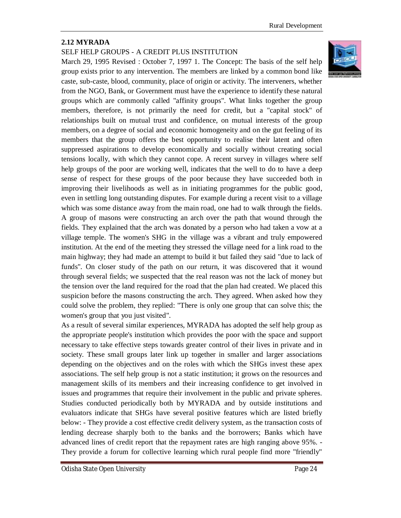# **2.12 MYRADA**

# SELF HELP GROUPS - A CREDIT PLUS INSTITUTION

March 29, 1995 Revised : October 7, 1997 1. The Concept: The basis of the self help group exists prior to any intervention. The members are linked by a common bond like caste, sub-caste, blood, community, place of origin or activity. The interveners, whether from the NGO, Bank, or Government must have the experience to identify these natural groups which are commonly called "affinity groups". What links together the group members, therefore, is not primarily the need for credit, but a "capital stock" of relationships built on mutual trust and confidence, on mutual interests of the group members, on a degree of social and economic homogeneity and on the gut feeling of its members that the group offers the best opportunity to realise their latent and often suppressed aspirations to develop economically and socially without creating social tensions locally, with which they cannot cope. A recent survey in villages where self help groups of the poor are working well, indicates that the well to do to have a deep sense of respect for these groups of the poor because they have succeeded both in improving their livelihoods as well as in initiating programmes for the public good, even in settling long outstanding disputes. For example during a recent visit to a village which was some distance away from the main road, one had to walk through the fields. A group of masons were constructing an arch over the path that wound through the fields. They explained that the arch was donated by a person who had taken a vow at a village temple. The women's SHG in the village was a vibrant and truly empowered institution. At the end of the meeting they stressed the village need for a link road to the main highway; they had made an attempt to build it but failed they said "due to lack of funds". On closer study of the path on our return, it was discovered that it wound through several fields; we suspected that the real reason was not the lack of money but the tension over the land required for the road that the plan had created. We placed this suspicion before the masons constructing the arch. They agreed. When asked how they could solve the problem, they replied: "There is only one group that can solve this; the women's group that you just visited".

As a result of several similar experiences, MYRADA has adopted the self help group as the appropriate people's institution which provides the poor with the space and support necessary to take effective steps towards greater control of their lives in private and in society. These small groups later link up together in smaller and larger associations depending on the objectives and on the roles with which the SHGs invest these apex associations. The self help group is not a static institution; it grows on the resources and management skills of its members and their increasing confidence to get involved in issues and programmes that require their involvement in the public and private spheres. Studies conducted periodically both by MYRADA and by outside institutions and evaluators indicate that SHGs have several positive features which are listed briefly below: - They provide a cost effective credit delivery system, as the transaction costs of lending decrease sharply both to the banks and the borrowers; Banks which have advanced lines of credit report that the repayment rates are high ranging above 95%. - They provide a forum for collective learning which rural people find more "friendly"

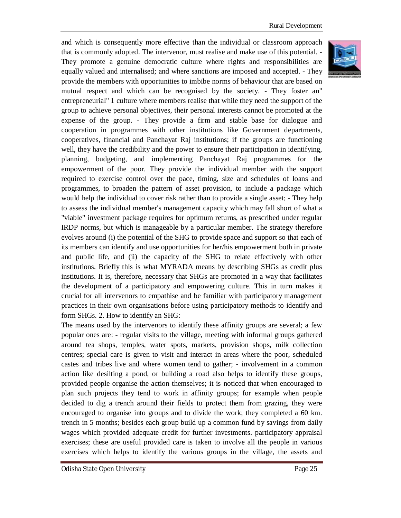and which is consequently more effective than the individual or classroom approach that is commonly adopted. The intervenor, must realise and make use of this potential. - They promote a genuine democratic culture where rights and responsibilities are equally valued and internalised; and where sanctions are imposed and accepted. - They provide the members with opportunities to imbibe norms of behaviour that are based on mutual respect and which can be recognised by the society. - They foster an" entrepreneurial" 1 culture where members realise that while they need the support of the group to achieve personal objectives, their personal interests cannot be promoted at the expense of the group. - They provide a firm and stable base for dialogue and cooperation in programmes with other institutions like Government departments, cooperatives, financial and Panchayat Raj institutions; if the groups are functioning well, they have the credibility and the power to ensure their participation in identifying, planning, budgeting, and implementing Panchayat Raj programmes for the empowerment of the poor. They provide the individual member with the support required to exercise control over the pace, timing, size and schedules of loans and programmes, to broaden the pattern of asset provision, to include a package which would help the individual to cover risk rather than to provide a single asset; - They help to assess the individual member's management capacity which may fall short of what a "viable" investment package requires for optimum returns, as prescribed under regular IRDP norms, but which is manageable by a particular member. The strategy therefore evolves around (i) the potential of the SHG to provide space and support so that each of its members can identify and use opportunities for her/his empowerment both in private and public life, and (ii) the capacity of the SHG to relate effectively with other institutions. Briefly this is what MYRADA means by describing SHGs as credit plus institutions. It is, therefore, necessary that SHGs are promoted in a way that facilitates the development of a participatory and empowering culture. This in turn makes it crucial for all intervenors to empathise and be familiar with participatory management practices in their own organisations before using participatory methods to identify and form SHGs. 2. How to identify an SHG:

The means used by the intervenors to identify these affinity groups are several; a few popular ones are: - regular visits to the village, meeting with informal groups gathered around tea shops, temples, water spots, markets, provision shops, milk collection centres; special care is given to visit and interact in areas where the poor, scheduled castes and tribes live and where women tend to gather; - involvement in a common action like desilting a pond, or building a road also helps to identify these groups, provided people organise the action themselves; it is noticed that when encouraged to plan such projects they tend to work in affinity groups; for example when people decided to dig a trench around their fields to protect them from grazing, they were encouraged to organise into groups and to divide the work; they completed a 60 km. trench in 5 months; besides each group build up a common fund by savings from daily wages which provided adequate credit for further investments. participatory appraisal exercises; these are useful provided care is taken to involve all the people in various exercises which helps to identify the various groups in the village, the assets and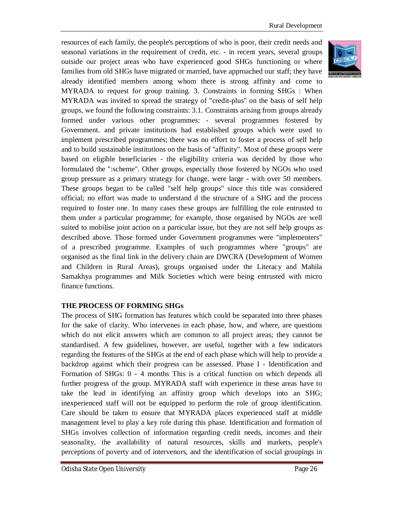resources of each family, the people's perceptions of who is poor, their credit needs and seasonal variations in the requirement of credit, etc. - in recent years, several groups outside our project areas who have experienced good SHGs functioning or where families from old SHGs have migrated or married, have approached our staff; they have already identified members among whom there is strong affinity and come to MYRADA to request for group training. 3. Constraints in forming SHGs : When MYRADA was invited to spread the strategy of "credit-plus" on the basis of self help groups, we found the following constraints: 3.1. Constraints arising from groups already formed under various other programmes: - several programmes fostered by Government. and private institutions had established groups which were used to implement prescribed programmes; there was no effort to foster a process of self help and to build sustainable institutions on the basis of "affinity". Most of these groups were based on eligible beneficiaries - the eligibility criteria was decided by those who formulated the ":scheme". Other groups, especially those fostered by NGOs who used group pressure as a primary strategy for change, were large - with over 50 members. These groups began to be called "self help groups" since this title was considered official; no effort was made to understand d the structure of a SHG and the process required to foster one. In many cases these groups are fulfilling the role entrusted to them under a particular programme; for example, those organised by NGOs are well suited to mobilise joint action on a particular issue, but they are not self help groups as described above. Those formed under Government programmes were "implementers" of a prescribed programme. Examples of such programmes where "groups" are organised as the final link in the delivery chain are DWCRA (Development of Women and Children in Rural Areas), groups organised under the Literacy and Mahila Samakhya programmes and Milk Societies which were being entrusted with micro finance functions.

# **THE PROCESS OF FORMING SHGs**

The process of SHG formation has features which could be separated into three phases for the sake of clarity. Who intervenes in each phase, how, and where, are questions which do not elicit answers which are common to all project areas; they cannot be standardised. A few guidelines, however, are useful, together with a few indicators regarding the features of the SHGs at the end of each phase which will help to provide a backdrop against which their progress can be assessed. Phase I - Identification and Formation of SHGs: 0 - 4 months This is a critical function on which depends all further progress of the group. MYRADA staff with experience in these areas have to take the lead in identifying an affinity group which develops into an SHG; inexperienced staff will not be equipped to perform the role of group identification. Care should be taken to ensure that MYRADA places experienced staff at middle management level to play a key role during this phase. Identification and formation of SHGs involves collection of information regarding credit needs, incomes and their seasonality, the availability of natural resources, skills and markets, people's perceptions of poverty and of intervenors, and the identification of social groupings in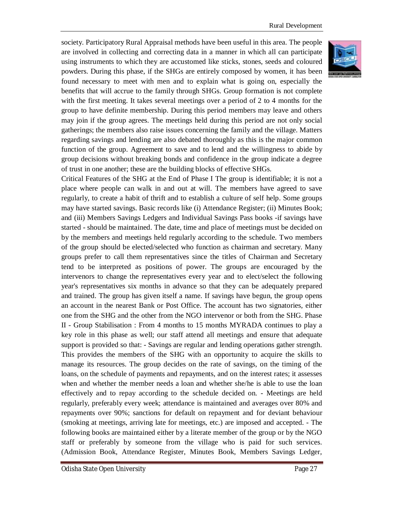society. Participatory Rural Appraisal methods have been useful in this area. The people are involved in collecting and correcting data in a manner in which all can participate using instruments to which they are accustomed like sticks, stones, seeds and coloured powders. During this phase, if the SHGs are entirely composed by women, it has been found necessary to meet with men and to explain what is going on, especially the benefits that will accrue to the family through SHGs. Group formation is not complete with the first meeting. It takes several meetings over a period of 2 to 4 months for the group to have definite membership. During this period members may leave and others may join if the group agrees. The meetings held during this period are not only social gatherings; the members also raise issues concerning the family and the village. Matters regarding savings and lending are also debated thoroughly as this is the major common function of the group. Agreement to save and to lend and the willingness to abide by group decisions without breaking bonds and confidence in the group indicate a degree of trust in one another; these are the building blocks of effective SHGs.

Critical Features of the SHG at the End of Phase I The group is identifiable; it is not a place where people can walk in and out at will. The members have agreed to save regularly, to create a habit of thrift and to establish a culture of self help. Some groups may have started savings. Basic records like (i) Attendance Register; (ii) Minutes Book; and (iii) Members Savings Ledgers and Individual Savings Pass books -if savings have started - should be maintained. The date, time and place of meetings must be decided on by the members and meetings held regularly according to the schedule. Two members of the group should be elected/selected who function as chairman and secretary. Many groups prefer to call them representatives since the titles of Chairman and Secretary tend to be interpreted as positions of power. The groups are encouraged by the intervenors to change the representatives every year and to elect/select the following year's representatives six months in advance so that they can be adequately prepared and trained. The group has given itself a name. If savings have begun, the group opens an account in the nearest Bank or Post Office. The account has two signatories, either one from the SHG and the other from the NGO intervenor or both from the SHG. Phase II - Group Stabilisation : From 4 months to 15 months MYRADA continues to play a key role in this phase as well; our staff attend all meetings and ensure that adequate support is provided so that: - Savings are regular and lending operations gather strength. This provides the members of the SHG with an opportunity to acquire the skills to manage its resources. The group decides on the rate of savings, on the timing of the loans, on the schedule of payments and repayments, and on the interest rates; it assesses when and whether the member needs a loan and whether she/he is able to use the loan effectively and to repay according to the schedule decided on. - Meetings are held regularly, preferably every week; attendance is maintained and averages over 80% and repayments over 90%; sanctions for default on repayment and for deviant behaviour (smoking at meetings, arriving late for meetings, etc.) are imposed and accepted. - The following books are maintained either by a literate member of the group or by the NGO staff or preferably by someone from the village who is paid for such services. (Admission Book, Attendance Register, Minutes Book, Members Savings Ledger,

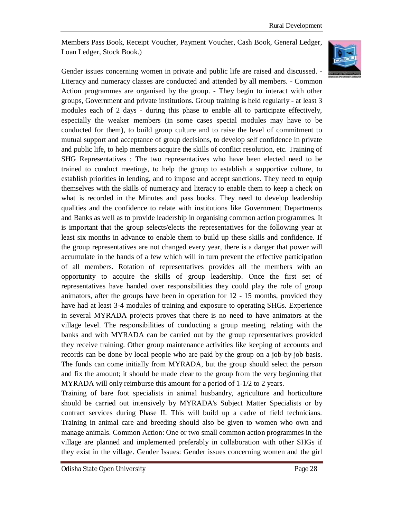Members Pass Book, Receipt Voucher, Payment Voucher, Cash Book, General Ledger, Loan Ledger, Stock Book.)



Gender issues concerning women in private and public life are raised and discussed. - Literacy and numeracy classes are conducted and attended by all members. - Common Action programmes are organised by the group. - They begin to interact with other groups, Government and private institutions. Group training is held regularly - at least 3 modules each of 2 days - during this phase to enable all to participate effectively, especially the weaker members (in some cases special modules may have to be conducted for them), to build group culture and to raise the level of commitment to mutual support and acceptance of group decisions, to develop self confidence in private and public life, to help members acquire the skills of conflict resolution, etc. Training of SHG Representatives : The two representatives who have been elected need to be trained to conduct meetings, to help the group to establish a supportive culture, to establish priorities in lending, and to impose and accept sanctions. They need to equip themselves with the skills of numeracy and literacy to enable them to keep a check on what is recorded in the Minutes and pass books. They need to develop leadership qualities and the confidence to relate with institutions like Government Departments and Banks as well as to provide leadership in organising common action programmes. It is important that the group selects/elects the representatives for the following year at least six months in advance to enable them to build up these skills and confidence. If the group representatives are not changed every year, there is a danger that power will accumulate in the hands of a few which will in turn prevent the effective participation of all members. Rotation of representatives provides all the members with an opportunity to acquire the skills of group leadership. Once the first set of representatives have handed over responsibilities they could play the role of group animators, after the groups have been in operation for 12 - 15 months, provided they have had at least 3-4 modules of training and exposure to operating SHGs. Experience in several MYRADA projects proves that there is no need to have animators at the village level. The responsibilities of conducting a group meeting, relating with the banks and with MYRADA can be carried out by the group representatives provided they receive training. Other group maintenance activities like keeping of accounts and records can be done by local people who are paid by the group on a job-by-job basis. The funds can come initially from MYRADA, but the group should select the person and fix the amount; it should be made clear to the group from the very beginning that MYRADA will only reimburse this amount for a period of 1-1/2 to 2 years.

Training of bare foot specialists in animal husbandry, agriculture and horticulture should be carried out intensively by MYRADA's Subject Matter Specialists or by contract services during Phase II. This will build up a cadre of field technicians. Training in animal care and breeding should also be given to women who own and manage animals. Common Action: One or two small common action programmes in the village are planned and implemented preferably in collaboration with other SHGs if they exist in the village. Gender Issues: Gender issues concerning women and the girl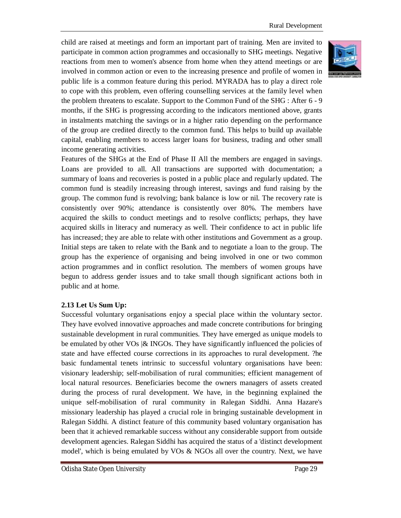child are raised at meetings and form an important part of training. Men are invited to participate in common action programmes and occasionally to SHG meetings. Negative reactions from men to women's absence from home when they attend meetings or are involved in common action or even to the increasing presence and profile of women in public life is a common feature during this period. MYRADA has to play a direct role to cope with this problem, even offering counselling services at the family level when the problem threatens to escalate. Support to the Common Fund of the SHG : After 6 - 9 months, if the SHG is progressing according to the indicators mentioned above, grants in instalments matching the savings or in a higher ratio depending on the performance of the group are credited directly to the common fund. This helps to build up available capital, enabling members to access larger loans for business, trading and other small income generating activities.

Features of the SHGs at the End of Phase II All the members are engaged in savings. Loans are provided to all. All transactions are supported with documentation; a summary of loans and recoveries is posted in a public place and regularly updated. The common fund is steadily increasing through interest, savings and fund raising by the group. The common fund is revolving; bank balance is low or nil. The recovery rate is consistently over 90%; attendance is consistently over 80%. The members have acquired the skills to conduct meetings and to resolve conflicts; perhaps, they have acquired skills in literacy and numeracy as well. Their confidence to act in public life has increased; they are able to relate with other institutions and Government as a group. Initial steps are taken to relate with the Bank and to negotiate a loan to the group. The group has the experience of organising and being involved in one or two common action programmes and in conflict resolution. The members of women groups have begun to address gender issues and to take small though significant actions both in public and at home.

#### **2.13 Let Us Sum Up:**

Successful voluntary organisations enjoy a special place within the voluntary sector. They have evolved innovative approaches and made concrete contributions for bringing sustainable development in rural communities. They have emerged as unique models to be emulated by other VOs  $\&$  INGOs. They have significantly influenced the policies of state and have effected course corrections in its approaches to rural development. ?he basic fundamental tenets intrinsic to successful voluntary organisations have been: visionary leadership; self-mobilisation of rural communities; efficient management of local natural resources. Beneficiaries become the owners managers of assets created during the process of rural development. We have, in the beginning explained the unique self-mobilisation of rural community in Ralegan Siddhi. Anna Hazare's missionary leadership has played a crucial role in bringing sustainable development in Ralegan Siddhi. A distinct feature of this community based voluntary organisation has been that it achieved remarkable success without any considerable support from outside development agencies. Ralegan Siddhi has acquired the status of a 'distinct development model', which is being emulated by VOs & NGOs all over the country. Next, we have

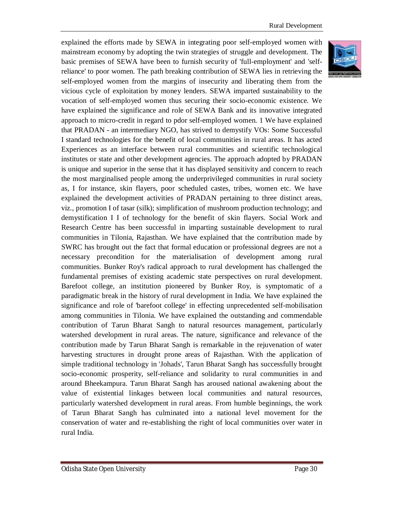explained the efforts made by SEWA in integrating poor self-employed women with mainstream economy by adopting the twin strategies of struggle and development. The basic premises of SEWA have been to furnish security of 'full-employment' and 'selfreliance' to poor women. The path breaking contribution of SEWA lies in retrieving the self-employed women from the margins of insecurity and liberating them from the vicious cycle of exploitation by money lenders. SEWA imparted sustainability to the vocation of self-employed women thus securing their socio-economic existence. We have explained the significance and role of SEWA Bank and its innovative integrated approach to micro-credit in regard to pdor self-employed women. 1 We have explained that PRADAN - an intermediary NGO, has strived to demystify VOs: Some Successful I standard technologies for the benefit of local communities in rural areas. It has acted Experiences as an interface between rural communities and scientific technological institutes or state and other development agencies. The approach adopted by PRADAN is unique and superior in the sense that it has displayed sensitivity and concern to reach the most marginalised people among the underprivileged communities in rural society as, I for instance, skin flayers, poor scheduled castes, tribes, women etc. We have explained the development activities of PRADAN pertaining to three distinct areas, viz., promotion I of tasar (silk); simplification of mushroom production technology; and demystification I I of technology for the benefit of skin flayers. Social Work and Research Centre has been successful in imparting sustainable development to rural communities in Tilonia, Rajasthan. We have explained that the contribution made by SWRC has brought out the fact that formal education or professional degrees are not a necessary precondition for the materialisation of development among rural communities. Bunker Roy's radical approach to rural development has challenged the fundamental premises of existing academic state perspectives on rural development. Barefoot college, an institution pioneered by Bunker Roy, is symptomatic of a paradigmatic break in the history of rural development in India. We have explained the significance and role of 'barefoot college' in effecting unprecedented self-mobilisation among communities in Tilonia. We have explained the outstanding and commendable contribution of Tarun Bharat Sangh to natural resources management, particularly watershed development in rural areas. The nature, significance and relevance of the contribution made by Tarun Bharat Sangh is remarkable in the rejuvenation of water harvesting structures in drought prone areas of Rajasthan. With the application of simple traditional technology in 'Johads', Tarun Bharat Sangh has successfully brought socio-economic prosperity, self-reliance and solidarity to rural communities in and around Bheekampura. Tarun Bharat Sangh has aroused national awakening about the value of existential linkages between local communities and natural resources, particularly watershed development in rural areas. From humble beginnings, the work of Tarun Bharat Sangh has culminated into a national level movement for the conservation of water and re-establishing the right of local communities over water in rural India.

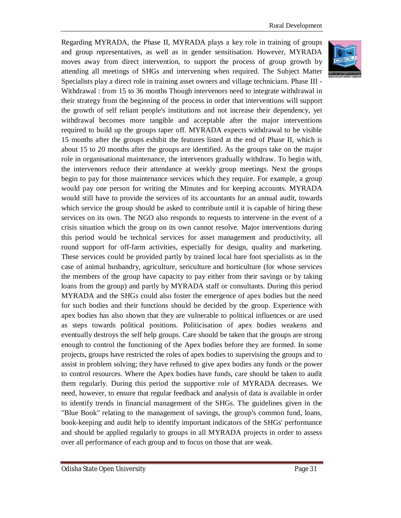Regarding MYRADA, the Phase II, MYRADA plays a key role in training of groups and group representatives, as well as in gender sensitisation. However, MYRADA moves away from direct intervention, to support the process of group growth by attending all meetings of SHGs and intervening when required. The Subject Matter Specialists play a direct role in training asset owners and village technicians. Phase III - Withdrawal : from 15 to 36 months Though intervenors need to integrate withdrawal in their strategy from the beginning of the process in order that interventions will support the growth of self reliant people's institutions and not increase their dependency, yet withdrawal becomes more tangible and acceptable after the major interventions required to build up the groups taper off. MYRADA expects withdrawal to be visible 15 months after the groups exhibit the features listed at the end of Phase II, which is about 15 to 20 months after the groups are identified. As the groups take on the major role in organisational maintenance, the intervenors gradually withdraw. To begin with, the intervenors reduce their attendance at weekly group meetings. Next the groups begin to pay for those maintenance services which they require. For example, a group would pay one person for writing the Minutes and for keeping accounts. MYRADA would still have to provide the services of its accountants for an annual audit, towards which service the group should be asked to contribute until it is capable of hiring these services on its own. The NGO also responds to requests to intervene in the event of a crisis situation which the group on its own cannot resolve. Major interventions during this period would be technical services for asset management and productivity, all round support for off-farm activities, especially for design, quality and marketing. These services could be provided partly by trained local bare foot specialists as in the case of animal husbandry, agriculture, sericulture and horticulture (for whose services the members of the group have capacity to pay either from their savings or by taking loans from the group) and partly by MYRADA staff or consultants. During this period MYRADA and the SHGs could also foster the emergence of apex bodies but the need for such bodies and their functions should be decided by the group. Experience with apex bodies has also shown that they are vulnerable to political influences or are used as steps towards political positions. Politicisation of apex bodies weakens and eventually destroys the self help groups. Care should be taken that the groups are strong enough to control the functioning of the Apex bodies before they are formed. In some projects, groups have restricted the roles of apex bodies to supervising the groups and to assist in problem solving; they have refused to give apex bodies any funds or the power to control resources. Where the Apex bodies have funds, care should be taken to audit them regularly. During this period the supportive role of MYRADA decreases. We need, however, to ensure that regular feedback and analysis of data is available in order to identify trends in financial management of the SHGs. The guidelines given in the "Blue Book" relating to the management of savings, the group's common fund, loans, book-keeping and audit help to identify important indicators of the SHGs' performance and should be applied regularly to groups in all MYRADA projects in order to assess over all performance of each group and to focus on those that are weak.